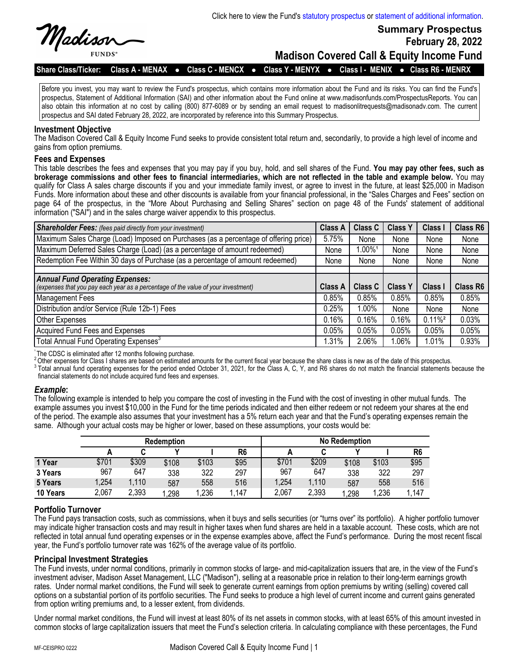

**FUNDS** 

**February 28, 2022**

**Summary Prospectus**

**Madison Covered Call & Equity Income Fund**

Share Class/Ticker: Class A - MENAX • Class C - MENCX • Class Y - MENYX • Class I - MENIX • Class R6 - MENRX

Before you invest, you may want to review the Fund's prospectus, which contains more information about the Fund and its risks. You can find the Fund's prospectus, Statement of Additional Information (SAI) and other information about the Fund online at www.madisonfunds.com/ProspectusReports. You can also obtain this information at no cost by calling (800) 877-6089 or by sending an email request to madisonlitrequests@madisonadv.com. The current prospectus and SAI dated February 28, 2022, are incorporated by reference into this Summary Prospectus.

#### **Investment Objective**

The Madison Covered Call & Equity Income Fund seeks to provide consistent total return and, secondarily, to provide a high level of income and gains from option premiums.

#### **Fees and Expenses**

This table describes the fees and expenses that you may pay if you buy, hold, and sell shares of the Fund. **You may pay other fees, such as brokerage commissions and other fees to financial intermediaries, which are not reflected in the table and example below.** You may qualify for Class A sales charge discounts if you and your immediate family invest, or agree to invest in the future, at least \$25,000 in Madison Funds. More information about these and other discounts is available from your financial professional, in the "Sales Charges and Fees" section on page 64 of the prospectus, in the "More About Purchasing and Selling Shares" section on page 48 of the Funds' statement of additional information ("SAI") and in the sales charge waiver appendix to this prospectus.

| <b>Shareholder Fees:</b> (fees paid directly from your investment)                                                          | <b>Class A</b> | <b>Class C</b>     | <b>Class Y</b> | <b>Class I</b>        | Class R6 |
|-----------------------------------------------------------------------------------------------------------------------------|----------------|--------------------|----------------|-----------------------|----------|
| Maximum Sales Charge (Load) Imposed on Purchases (as a percentage of offering price)                                        | 5.75%          | None               | None           | None                  | None     |
| Maximum Deferred Sales Charge (Load) (as a percentage of amount redeemed)                                                   | None           | 1.00% <sup>1</sup> | None           | None                  | None     |
| Redemption Fee Within 30 days of Purchase (as a percentage of amount redeemed)                                              | None           | None               | None           | None                  | None     |
|                                                                                                                             |                |                    |                |                       |          |
| <b>Annual Fund Operating Expenses:</b><br>(expenses that you pay each year as a percentage of the value of your investment) | Class A        | Class C            | <b>Class Y</b> | <b>Class I</b>        | Class R6 |
| Management Fees                                                                                                             | 0.85%          | 0.85%              | 0.85%          | 0.85%                 | 0.85%    |
| Distribution and/or Service (Rule 12b-1) Fees                                                                               | 0.25%          | 1.00%              | None           | None                  | None     |
| Other Expenses                                                                                                              | 0.16%          | 0.16%              | 0.16%          | $0.11\%$ <sup>2</sup> | 0.03%    |
| Acquired Fund Fees and Expenses                                                                                             | 0.05%          | 0.05%              | 0.05%          | 0.05%                 | 0.05%    |
| Total Annual Fund Operating Expenses <sup>3</sup>                                                                           | 1.31%          | 2.06%              | 1.06%          | 1.01%                 | 0.93%    |

The CDSC is eliminated after 12 months following purchase.

2Other expenses for Class I shares are based on estimated amounts for the current fiscal year because the share class is new as of the date of this prospectus.

3 Total annual fund operating expenses for the period ended October 31, 2021, for the Class A, C, Y, and R6 shares do not match the financial statements because the financial statements do not include acquired fund fees and expenses.

#### *Example***:**

The following example is intended to help you compare the cost of investing in the Fund with the cost of investing in other mutual funds. The example assumes you invest \$10,000 in the Fund for the time periods indicated and then either redeem or not redeem your shares at the end of the period. The example also assumes that your investment has a 5% return each year and that the Fund's operating expenses remain the same. Although your actual costs may be higher or lower, based on these assumptions, your costs would be:

|          | <b>Redemption</b> |       |       | <b>No Redemption</b> |                |       |       |       |       |                |
|----------|-------------------|-------|-------|----------------------|----------------|-------|-------|-------|-------|----------------|
|          |                   |       |       |                      | R <sub>6</sub> |       |       |       |       | R <sub>6</sub> |
| 1 Year   | \$701             | \$309 | \$108 | \$103                | \$95           | \$701 | \$209 | \$108 | \$103 | \$95           |
| 3 Years  | 967               | 647   | 338   | 322                  | 297            | 967   | 647   | 338   | 322   | 297            |
| 5 Years  | 1,254             | 1,110 | 587   | 558                  | 516            | ,254  | 1,110 | 587   | 558   | 516            |
| 10 Years | 2,067             | 2,393 | .298  | .236                 | 147            | 2,067 | 2,393 | 1,298 | 1,236 | .147           |

# **Portfolio Turnover**

The Fund pays transaction costs, such as commissions, when it buys and sells securities (or "turns over" its portfolio). A higher portfolio turnover may indicate higher transaction costs and may result in higher taxes when fund shares are held in a taxable account. These costs, which are not reflected in total annual fund operating expenses or in the expense examples above, affect the Fund's performance. During the most recent fiscal year, the Fund's portfolio turnover rate was 162% of the average value of its portfolio.

#### **Principal Investment Strategies**

The Fund invests, under normal conditions, primarily in common stocks of large- and mid-capitalization issuers that are, in the view of the Fund's investment adviser, Madison Asset Management, LLC ("Madison"), selling at a reasonable price in relation to their long-term earnings growth rates. Under normal market conditions, the Fund will seek to generate current earnings from option premiums by writing (selling) covered call options on a substantial portion of its portfolio securities. The Fund seeks to produce a high level of current income and current gains generated from option writing premiums and, to a lesser extent, from dividends.

Under normal market conditions, the Fund will invest at least 80% of its net assets in common stocks, with at least 65% of this amount invested in common stocks of large capitalization issuers that meet the Fund's selection criteria. In calculating compliance with these percentages, the Fund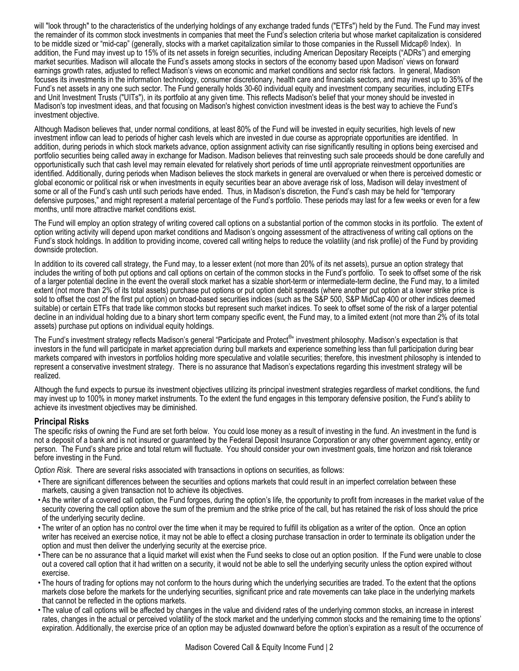will "look through" to the characteristics of the underlying holdings of any exchange traded funds ("ETFs") held by the Fund. The Fund may invest the remainder of its common stock investments in companies that meet the Fund's selection criteria but whose market capitalization is considered to be middle sized or "mid-cap" (generally, stocks with a market capitalization similar to those companies in the Russell Midcap® Index). In addition, the Fund may invest up to 15% of its net assets in foreign securities, including American Depositary Receipts ("ADRs") and emerging market securities. Madison will allocate the Fund's assets among stocks in sectors of the economy based upon Madison' views on forward earnings growth rates, adjusted to reflect Madison's views on economic and market conditions and sector risk factors. In general, Madison focuses its investments in the information technology, consumer discretionary, health care and financials sectors, and may invest up to 35% of the Fund's net assets in any one such sector. The Fund generally holds 30-60 individual equity and investment company securities, including ETFs and Unit Investment Trusts ("UITs"), in its portfolio at any given time. This reflects Madison's belief that your money should be invested in Madison's top investment ideas, and that focusing on Madison's highest conviction investment ideas is the best way to achieve the Fund's investment objective.

Although Madison believes that, under normal conditions, at least 80% of the Fund will be invested in equity securities, high levels of new investment inflow can lead to periods of higher cash levels which are invested in due course as appropriate opportunities are identified. In addition, during periods in which stock markets advance, option assignment activity can rise significantly resulting in options being exercised and portfolio securities being called away in exchange for Madison. Madison believes that reinvesting such sale proceeds should be done carefully and opportunistically such that cash level may remain elevated for relatively short periods of time until appropriate reinvestment opportunities are identified. Additionally, during periods when Madison believes the stock markets in general are overvalued or when there is perceived domestic or global economic or political risk or when investments in equity securities bear an above average risk of loss, Madison will delay investment of some or all of the Fund's cash until such periods have ended. Thus, in Madison's discretion, the Fund's cash may be held for "temporary defensive purposes," and might represent a material percentage of the Fund's portfolio. These periods may last for a few weeks or even for a few months, until more attractive market conditions exist.

The Fund will employ an option strategy of writing covered call options on a substantial portion of the common stocks in its portfolio. The extent of option writing activity will depend upon market conditions and Madison's ongoing assessment of the attractiveness of writing call options on the Fund's stock holdings. In addition to providing income, covered call writing helps to reduce the volatility (and risk profile) of the Fund by providing downside protection.

In addition to its covered call strategy, the Fund may, to a lesser extent (not more than 20% of its net assets), pursue an option strategy that includes the writing of both put options and call options on certain of the common stocks in the Fund's portfolio. To seek to offset some of the risk of a larger potential decline in the event the overall stock market has a sizable short-term or intermediate-term decline, the Fund may, to a limited extent (not more than 2% of its total assets) purchase put options or put option debit spreads (where another put option at a lower strike price is sold to offset the cost of the first put option) on broad-based securities indices (such as the S&P 500, S&P MidCap 400 or other indices deemed suitable) or certain ETFs that trade like common stocks but represent such market indices. To seek to offset some of the risk of a larger potential decline in an individual holding due to a binary short term company specific event, the Fund may, to a limited extent (not more than 2% of its total assets) purchase put options on individual equity holdings.

The Fund's investment strategy reflects Madison's general "Participate and Protect®" investment philosophy. Madison's expectation is that investors in the fund will participate in market appreciation during bull markets and experience something less than full participation during bear markets compared with investors in portfolios holding more speculative and volatile securities; therefore, this investment philosophy is intended to represent a conservative investment strategy. There is no assurance that Madison's expectations regarding this investment strategy will be realized.

Although the fund expects to pursue its investment objectives utilizing its principal investment strategies regardless of market conditions, the fund may invest up to 100% in money market instruments. To the extent the fund engages in this temporary defensive position, the Fund's ability to achieve its investment objectives may be diminished.

# **Principal Risks**

The specific risks of owning the Fund are set forth below. You could lose money as a result of investing in the fund. An investment in the fund is not a deposit of a bank and is not insured or guaranteed by the Federal Deposit Insurance Corporation or any other government agency, entity or person. The Fund's share price and total return will fluctuate. You should consider your own investment goals, time horizon and risk tolerance before investing in the Fund.

*Option Risk*. There are several risks associated with transactions in options on securities, as follows:

- There are significant differences between the securities and options markets that could result in an imperfect correlation between these markets, causing a given transaction not to achieve its objectives.
- As the writer of a covered call option, the Fund forgoes, during the option's life, the opportunity to profit from increases in the market value of the security covering the call option above the sum of the premium and the strike price of the call, but has retained the risk of loss should the price of the underlying security decline.
- The writer of an option has no control over the time when it may be required to fulfill its obligation as a writer of the option. Once an option writer has received an exercise notice, it may not be able to effect a closing purchase transaction in order to terminate its obligation under the option and must then deliver the underlying security at the exercise price.
- There can be no assurance that a liquid market will exist when the Fund seeks to close out an option position. If the Fund were unable to close out a covered call option that it had written on a security, it would not be able to sell the underlying security unless the option expired without exercise.
- The hours of trading for options may not conform to the hours during which the underlying securities are traded. To the extent that the options markets close before the markets for the underlying securities, significant price and rate movements can take place in the underlying markets that cannot be reflected in the options markets.
- The value of call options will be affected by changes in the value and dividend rates of the underlying common stocks, an increase in interest rates, changes in the actual or perceived volatility of the stock market and the underlying common stocks and the remaining time to the options' expiration. Additionally, the exercise price of an option may be adjusted downward before the option's expiration as a result of the occurrence of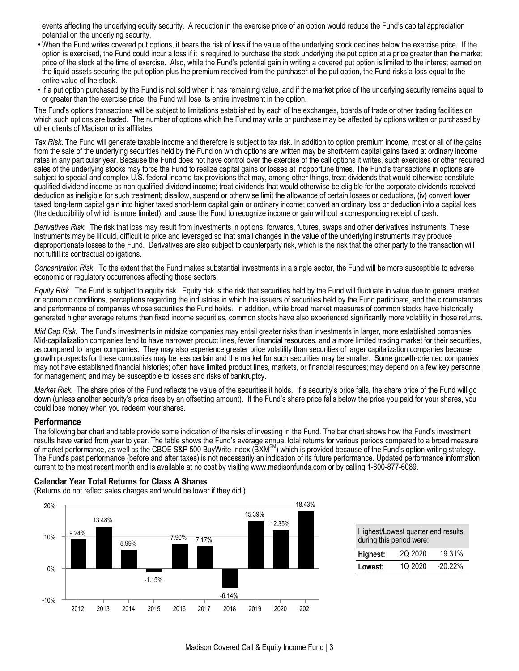events affecting the underlying equity security. A reduction in the exercise price of an option would reduce the Fund's capital appreciation potential on the underlying security.

- When the Fund writes covered put options, it bears the risk of loss if the value of the underlying stock declines below the exercise price. If the option is exercised, the Fund could incur a loss if it is required to purchase the stock underlying the put option at a price greater than the market price of the stock at the time of exercise. Also, while the Fund's potential gain in writing a covered put option is limited to the interest earned on the liquid assets securing the put option plus the premium received from the purchaser of the put option, the Fund risks a loss equal to the entire value of the stock.
- If a put option purchased by the Fund is not sold when it has remaining value, and if the market price of the underlying security remains equal to or greater than the exercise price, the Fund will lose its entire investment in the option.

The Fund's options transactions will be subject to limitations established by each of the exchanges, boards of trade or other trading facilities on which such options are traded. The number of options which the Fund may write or purchase may be affected by options written or purchased by other clients of Madison or its affiliates.

*Tax Risk*. The Fund will generate taxable income and therefore is subject to tax risk. In addition to option premium income, most or all of the gains from the sale of the underlying securities held by the Fund on which options are written may be short-term capital gains taxed at ordinary income rates in any particular year. Because the Fund does not have control over the exercise of the call options it writes, such exercises or other required sales of the underlying stocks may force the Fund to realize capital gains or losses at inopportune times. The Fund's transactions in options are subject to special and complex U.S. federal income tax provisions that may, among other things, treat dividends that would otherwise constitute qualified dividend income as non-qualified dividend income; treat dividends that would otherwise be eligible for the corporate dividends-received deduction as ineligible for such treatment; disallow, suspend or otherwise limit the allowance of certain losses or deductions, (iv) convert lower taxed long-term capital gain into higher taxed short-term capital gain or ordinary income; convert an ordinary loss or deduction into a capital loss (the deductibility of which is more limited); and cause the Fund to recognize income or gain without a corresponding receipt of cash.

*Derivatives Risk.* The risk that loss may result from investments in options, forwards, futures, swaps and other derivatives instruments. These instruments may be illiquid, difficult to price and leveraged so that small changes in the value of the underlying instruments may produce disproportionate losses to the Fund. Derivatives are also subject to counterparty risk, which is the risk that the other party to the transaction will not fulfill its contractual obligations.

*Concentration Risk*. To the extent that the Fund makes substantial investments in a single sector, the Fund will be more susceptible to adverse economic or regulatory occurrences affecting those sectors.

*Equity Risk*. The Fund is subject to equity risk. Equity risk is the risk that securities held by the Fund will fluctuate in value due to general market or economic conditions, perceptions regarding the industries in which the issuers of securities held by the Fund participate, and the circumstances and performance of companies whose securities the Fund holds. In addition, while broad market measures of common stocks have historically generated higher average returns than fixed income securities, common stocks have also experienced significantly more volatility in those returns.

*Mid Cap Risk*. The Fund's investments in midsize companies may entail greater risks than investments in larger, more established companies. Mid-capitalization companies tend to have narrower product lines, fewer financial resources, and a more limited trading market for their securities, as compared to larger companies. They may also experience greater price volatility than securities of larger capitalization companies because growth prospects for these companies may be less certain and the market for such securities may be smaller. Some growth-oriented companies may not have established financial histories; often have limited product lines, markets, or financial resources; may depend on a few key personnel for management; and may be susceptible to losses and risks of bankruptcy.

Market Risk. The share price of the Fund reflects the value of the securities it holds. If a security's price falls, the share price of the Fund will go down (unless another security's price rises by an offsetting amount). If the Fund's share price falls below the price you paid for your shares, you could lose money when you redeem your shares.

#### **Performance**

The following bar chart and table provide some indication of the risks of investing in the Fund. The bar chart shows how the Fund's investment results have varied from year to year. The table shows the Fund's average annual total returns for various periods compared to a broad measure of market performance, as well as the CBOE S&P 500 BuyWrite Index (BXM<sup>SM</sup>) which is provided because of the Fund's option writing strategy. The Fund's past performance (before and after taxes) is not necessarily an indication of its future performance. Updated performance information current to the most recent month end is available at no cost by visiting www.madisonfunds.com or by calling 1-800-877-6089.

## **Calendar Year Total Returns for Class A Shares**

(Returns do not reflect sales charges and would be lower if they did.)



| Highest/Lowest quarter end results<br>during this period were: |         |            |  |  |  |
|----------------------------------------------------------------|---------|------------|--|--|--|
| Highest:                                                       | 20 2020 | 19.31%     |  |  |  |
| Lowest:                                                        | 10 2020 | $-20.22\%$ |  |  |  |